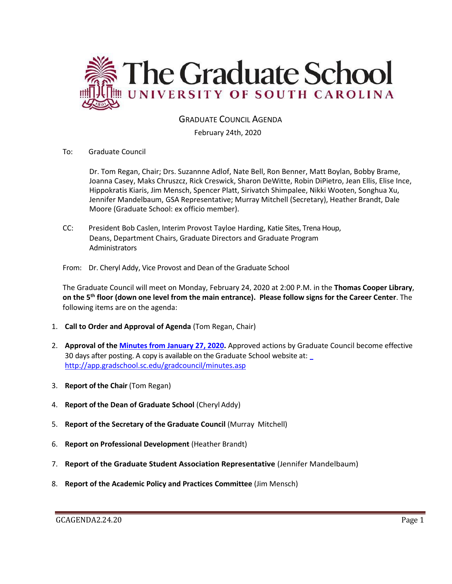

## GRADUATE COUNCIL AGENDA

February 24th, 2020

To: Graduate Council

Dr. Tom Regan, Chair; Drs. Suzannne Adlof, Nate Bell, Ron Benner, Matt Boylan, Bobby Brame, Joanna Casey, Maks Chruszcz, Rick Creswick, Sharon DeWitte, Robin DiPietro, Jean Ellis, Elise Ince, Hippokratis Kiaris, Jim Mensch, Spencer Platt, Sirivatch Shimpalee, Nikki Wooten, Songhua Xu, Jennifer Mandelbaum, GSA Representative; Murray Mitchell (Secretary), Heather Brandt, Dale Moore (Graduate School: ex officio member).

CC: President Bob Caslen, Interim Provost Tayloe Harding, Katie Sites, Trena Houp, Deans, Department Chairs, Graduate Directors and Graduate Program **Administrators** 

From: Dr. Cheryl Addy, Vice Provost and Dean of the Graduate School

The Graduate Council will meet on Monday, February 24, 2020 at 2:00 P.M. in the **Thomas Cooper Library**, **on the 5th floor (down one level from the main entrance). Please follow signs for the Career Center**. The following items are on the agenda:

- 1. **Call to Order and Approval of Agenda** (Tom Regan, Chair)
- 2. **Approval of the [Minutes from January 27, 2020.](GCMINSJAN272020.pdf)** Approved actions by Graduate Council become effective 30 days after posting. A copy is available on the Graduate School website at[:](http://app.gradschool.sc.edu/gradcouncil/minutes.asp)  <http://app.gradschool.sc.edu/gradcouncil/minutes.asp>
- 3. **Report of the Chair** (Tom Regan)
- 4. **Report of the Dean of Graduate School** (Cheryl Addy)
- 5. **Report of the Secretary of the Graduate Council** (Murray Mitchell)
- 6. **Report on Professional Development** (Heather Brandt)
- 7. **Report of the Graduate Student Association Representative** (Jennifer Mandelbaum)
- 8. **Report of the Academic Policy and Practices Committee** (Jim Mensch)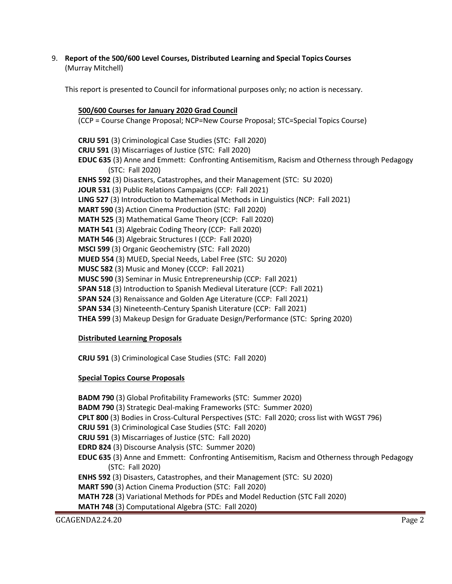9. **Report of the 500/600 Level Courses, Distributed Learning and Special Topics Courses** (Murray Mitchell)

This report is presented to Council for informational purposes only; no action is necessary.

# **500/600 Courses for January 2020 Grad Council**

(CCP = Course Change Proposal; NCP=New Course Proposal; STC=Special Topics Course)

**CRJU 591** (3) Criminological Case Studies (STC: Fall 2020) **CRJU 591** (3) Miscarriages of Justice (STC: Fall 2020) **EDUC 635** (3) Anne and Emmett: Confronting Antisemitism, Racism and Otherness through Pedagogy (STC: Fall 2020) **ENHS 592** (3) Disasters, Catastrophes, and their Management (STC: SU 2020) **JOUR 531** (3) Public Relations Campaigns (CCP: Fall 2021) **LING 527** (3) Introduction to Mathematical Methods in Linguistics (NCP: Fall 2021) **MART 590** (3) Action Cinema Production (STC: Fall 2020) **MATH 525** (3) Mathematical Game Theory (CCP: Fall 2020) **MATH 541** (3) Algebraic Coding Theory (CCP: Fall 2020) **MATH 546** (3) Algebraic Structures I (CCP: Fall 2020) **MSCI 599** (3) Organic Geochemistry (STC: Fall 2020) **MUED 554** (3) MUED, Special Needs, Label Free (STC: SU 2020) **MUSC 582** (3) Music and Money (CCCP: Fall 2021) **MUSC 590** (3) Seminar in Music Entrepreneurship (CCP: Fall 2021) **SPAN 518** (3) Introduction to Spanish Medieval Literature (CCP: Fall 2021) **SPAN 524** (3) Renaissance and Golden Age Literature (CCP: Fall 2021) **SPAN 534** (3) Nineteenth-Century Spanish Literature (CCP: Fall 2021) **THEA 599** (3) Makeup Design for Graduate Design/Performance (STC: Spring 2020)

# **Distributed Learning Proposals**

**CRJU 591** (3) Criminological Case Studies (STC: Fall 2020)

## **Special Topics Course Proposals**

**BADM 790** (3) Global Profitability Frameworks (STC: Summer 2020)

**BADM 790** (3) Strategic Deal-making Frameworks (STC: Summer 2020)

**CPLT 800** (3) Bodies in Cross-Cultural Perspectives (STC: Fall 2020; cross list with WGST 796)

- **CRJU 591** (3) Criminological Case Studies (STC: Fall 2020)
- **CRJU 591** (3) Miscarriages of Justice (STC: Fall 2020)
- **EDRD 824** (3) Discourse Analysis (STC: Summer 2020)
- **EDUC 635** (3) Anne and Emmett: Confronting Antisemitism, Racism and Otherness through Pedagogy (STC: Fall 2020)
- **ENHS 592** (3) Disasters, Catastrophes, and their Management (STC: SU 2020)

**MART 590** (3) Action Cinema Production (STC: Fall 2020)

**MATH 728** (3) Variational Methods for PDEs and Model Reduction (STC Fall 2020)

**MATH 748** (3) Computational Algebra (STC: Fall 2020)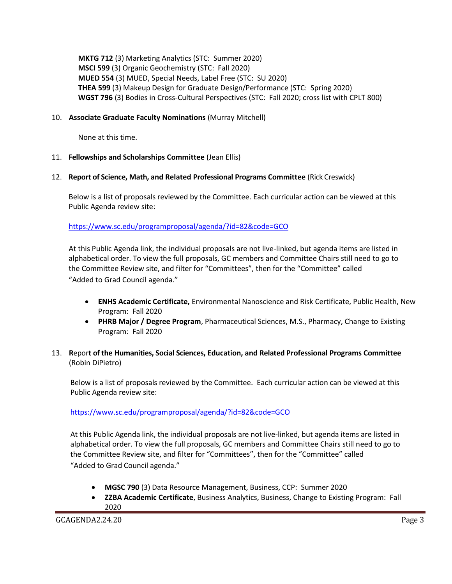**MKTG 712** (3) Marketing Analytics (STC: Summer 2020) **MSCI 599** (3) Organic Geochemistry (STC: Fall 2020) **MUED 554** (3) MUED, Special Needs, Label Free (STC: SU 2020) **THEA 599** (3) Makeup Design for Graduate Design/Performance (STC: Spring 2020) **WGST 796** (3) Bodies in Cross-Cultural Perspectives (STC: Fall 2020; cross list with CPLT 800)

## 10. **Associate Graduate Faculty Nominations** (Murray Mitchell)

None at this time.

#### 11. **Fellowships and Scholarships Committee** (Jean Ellis)

#### 12. **Report of Science, Math, and Related Professional Programs Committee** (Rick Creswick)

Below is a list of proposals reviewed by the Committee. Each curricular action can be viewed at this Public Agenda review site:

<https://www.sc.edu/programproposal/agenda/?id=82&code=GCO>

At this Public Agenda link, the individual proposals are not live-linked, but agenda items are listed in alphabetical order. To view the full proposals, GC members and Committee Chairs still need to go to the Committee Review site, and filter for "Committees", then for the "Committee" called "Added to Grad Council agenda."

- **ENHS Academic Certificate,** Environmental Nanoscience and Risk Certificate, Public Health, New Program: Fall 2020
- **PHRB Major / Degree Program**, Pharmaceutical Sciences, M.S., Pharmacy, Change to Existing Program: Fall 2020

## 13. **R**epor**t of the Humanities, Social Sciences, Education, and Related Professional Programs Committee**  (Robin DiPietro)

Below is a list of proposals reviewed by the Committee. Each curricular action can be viewed at this Public Agenda review site:

<https://www.sc.edu/programproposal/agenda/?id=82&code=GCO>

At this Public Agenda link, the individual proposals are not live-linked, but agenda items are listed in alphabetical order. To view the full proposals, GC members and Committee Chairs still need to go to the Committee Review site, and filter for "Committees", then for the "Committee" called "Added to Grad Council agenda."

- **MGSC 790** (3) Data Resource Management, Business, CCP: Summer 2020
- **ZZBA Academic Certificate**, Business Analytics, Business, Change to Existing Program: Fall 2020